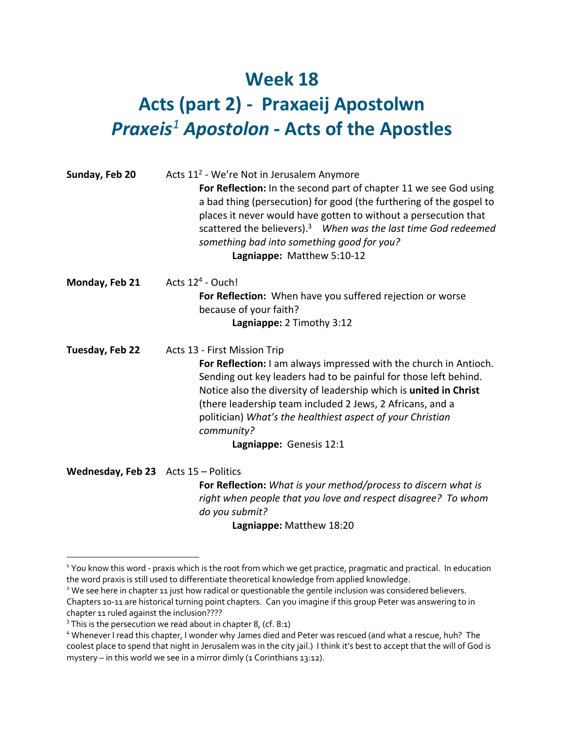## **Week 18 Acts (part 2) - Praxaeij Apostolwn** *Praxeis<sup>1</sup> Apostolon* **- Acts of the Apostles**

| Sunday, Feb 20                       | Acts 11 <sup>2</sup> - We're Not in Jerusalem Anymore<br>For Reflection: In the second part of chapter 11 we see God using<br>a bad thing (persecution) for good (the furthering of the gospel to<br>places it never would have gotten to without a persecution that<br>scattered the believers). <sup>3</sup> When was the last time God redeemed<br>something bad into something good for you?<br>Lagniappe: Matthew 5:10-12 |
|--------------------------------------|--------------------------------------------------------------------------------------------------------------------------------------------------------------------------------------------------------------------------------------------------------------------------------------------------------------------------------------------------------------------------------------------------------------------------------|
| Monday, Feb 21                       | Acts $124$ - Ouch!<br>For Reflection: When have you suffered rejection or worse<br>because of your faith?<br>Lagniappe: 2 Timothy 3:12                                                                                                                                                                                                                                                                                         |
| Tuesday, Feb 22                      | Acts 13 - First Mission Trip<br>For Reflection: I am always impressed with the church in Antioch.<br>Sending out key leaders had to be painful for those left behind.<br>Notice also the diversity of leadership which is united in Christ<br>(there leadership team included 2 Jews, 2 Africans, and a<br>politician) What's the healthiest aspect of your Christian<br>community?<br>Lagniappe: Genesis 12:1                 |
| Wednesday, Feb 23 Acts 15 - Politics | For Reflection: What is your method/process to discern what is<br>right when people that you love and respect disagree? To whom<br>do you submit?<br>Lagniappe: Matthew 18:20                                                                                                                                                                                                                                                  |

<sup>&</sup>lt;sup>1</sup> You know this word - praxis which is the root from which we get practice, pragmatic and practical. In education the word praxis is still used to differentiate theoretical knowledge from applied knowledge.

<sup>&</sup>lt;sup>2</sup> We see here in chapter 11 just how radical or questionable the gentile inclusion was considered believers. Chapters 10-11 are historical turning point chapters. Can you imagine if this group Peter was answering to in chapter 11 ruled against the inclusion????

 $3$  This is the persecution we read about in chapter 8, (cf. 8:1)

<sup>4</sup> Whenever I read this chapter, I wonder why James died and Peter was rescued (and what a rescue, huh? The coolest place to spend that night in Jerusalem was in the city jail.) I think it's best to accept that the will of God is mystery – in this world we see in a mirror dimly (1 Corinthians 13:12).